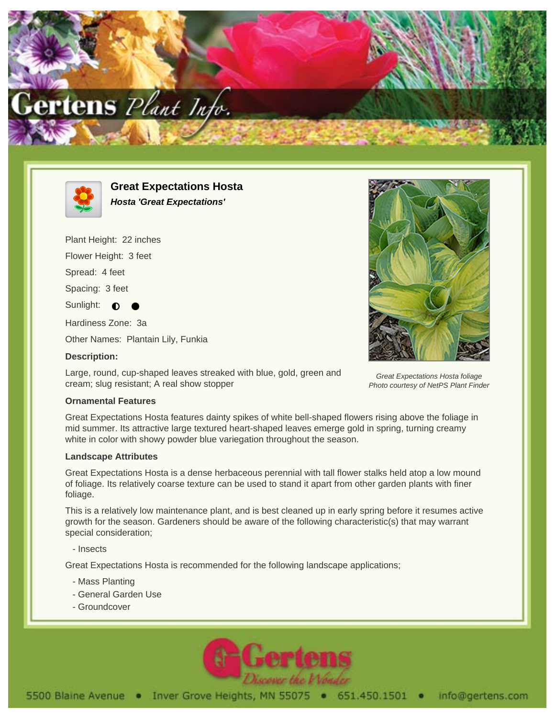



**Great Expectations Hosta Hosta 'Great Expectations'**

Plant Height: 22 inches

Flower Height: 3 feet

Spread: 4 feet

Spacing: 3 feet

Sunlight:  $\bullet$ 

Hardiness Zone: 3a

Other Names: Plantain Lily, Funkia

## **Description:**

Large, round, cup-shaped leaves streaked with blue, gold, green and cream; slug resistant; A real show stopper



Great Expectations Hosta foliage Photo courtesy of NetPS Plant Finder

## **Ornamental Features**

Great Expectations Hosta features dainty spikes of white bell-shaped flowers rising above the foliage in mid summer. Its attractive large textured heart-shaped leaves emerge gold in spring, turning creamy white in color with showy powder blue variegation throughout the season.

## **Landscape Attributes**

Great Expectations Hosta is a dense herbaceous perennial with tall flower stalks held atop a low mound of foliage. Its relatively coarse texture can be used to stand it apart from other garden plants with finer foliage.

This is a relatively low maintenance plant, and is best cleaned up in early spring before it resumes active growth for the season. Gardeners should be aware of the following characteristic(s) that may warrant special consideration;

- Insects

Great Expectations Hosta is recommended for the following landscape applications;

- Mass Planting
- General Garden Use
- Groundcover